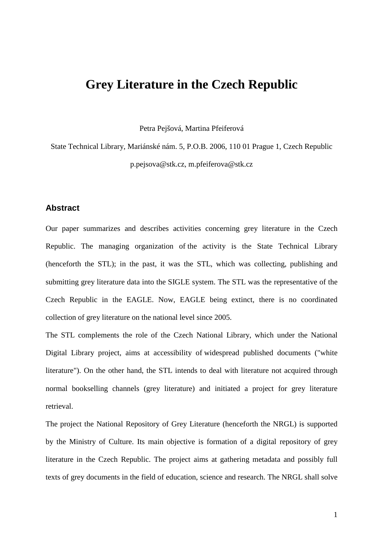# **Grey Literature in the Czech Republic**

Petra Pejšová, Martina Pfeiferová

State Technical Library, Mariánské nám. 5, P.O.B. 2006, 110 01 Prague 1, Czech Republic p.pejsova@stk.cz, m.pfeiferova@stk.cz

# **Abstract**

Our paper summarizes and describes activities concerning grey literature in the Czech Republic. The managing organization of the activity is the State Technical Library (henceforth the STL); in the past, it was the STL, which was collecting, publishing and submitting grey literature data into the SIGLE system. The STL was the representative of the Czech Republic in the EAGLE. Now, EAGLE being extinct, there is no coordinated collection of grey literature on the national level since 2005.

The STL complements the role of the Czech National Library, which under the National Digital Library project, aims at accessibility of widespread published documents ("white literature"). On the other hand, the STL intends to deal with literature not acquired through normal bookselling channels (grey literature) and initiated a project for grey literature retrieval.

The project the National Repository of Grey Literature (henceforth the NRGL) is supported by the Ministry of Culture. Its main objective is formation of a digital repository of grey literature in the Czech Republic. The project aims at gathering metadata and possibly full texts of grey documents in the field of education, science and research. The NRGL shall solve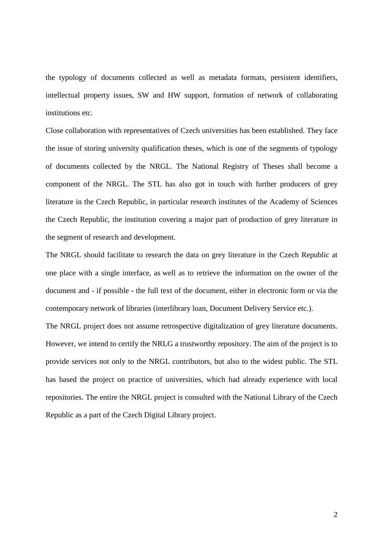the typology of documents collected as well as metadata formats, persistent identifiers, intellectual property issues, SW and HW support, formation of network of collaborating institutions etc.

Close collaboration with representatives of Czech universities has been established. They face the issue of storing university qualification theses, which is one of the segments of typology of documents collected by the NRGL. The National Registry of Theses shall become a component of the NRGL. The STL has also got in touch with further producers of grey literature in the Czech Republic, in particular research institutes of the Academy of Sciences the Czech Republic, the institution covering a major part of production of grey literature in the segment of research and development.

The NRGL should facilitate to research the data on grey literature in the Czech Republic at one place with a single interface, as well as to retrieve the information on the owner of the document and - if possible - the full text of the document, either in electronic form or via the contemporary network of libraries (interlibrary loan, Document Delivery Service etc.).

The NRGL project does not assume retrospective digitalization of grey literature documents. However, we intend to certify the NRLG a trustworthy repository. The aim of the project is to provide services not only to the NRGL contributors, but also to the widest public. The STL has based the project on practice of universities, which had already experience with local repositories. The entire the NRGL project is consulted with the National Library of the Czech Republic as a part of the Czech Digital Library project.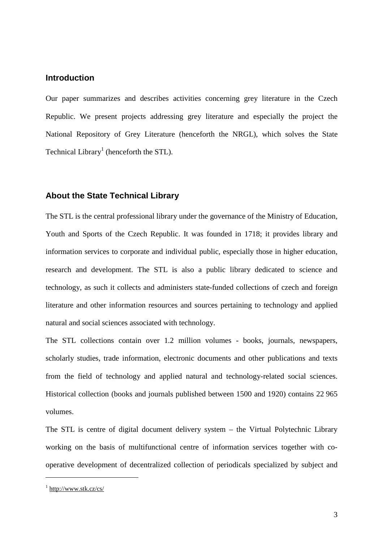## **Introduction**

Our paper summarizes and describes activities concerning grey literature in the Czech Republic. We present projects addressing grey literature and especially the project the National Repository of Grey Literature (henceforth the NRGL), which solves the State Technical Library<sup>1</sup> (henceforth the STL).

# **About the State Technical Library**

The STL is the central professional library under the governance of the Ministry of Education, Youth and Sports of the Czech Republic. It was founded in 1718; it provides library and information services to corporate and individual public, especially those in higher education, research and development. The STL is also a public library dedicated to science and technology, as such it collects and administers state-funded collections of czech and foreign literature and other information resources and sources pertaining to technology and applied natural and social sciences associated with technology.

The STL collections contain over 1.2 million volumes - books, journals, newspapers, scholarly studies, trade information, electronic documents and other publications and texts from the field of technology and applied natural and technology-related social sciences. Historical collection (books and journals published between 1500 and 1920) contains 22 965 volumes.

The STL is centre of digital document delivery system – the Virtual Polytechnic Library working on the basis of multifunctional centre of information services together with cooperative development of decentralized collection of periodicals specialized by subject and

<sup>&</sup>lt;sup>1</sup> http://www.stk.cz/cs/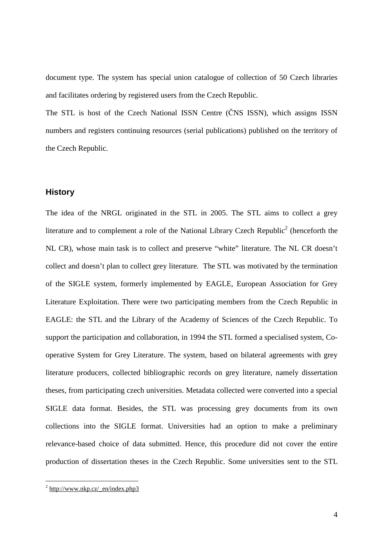document type. The system has special union catalogue of collection of 50 Czech libraries and facilitates ordering by registered users from the Czech Republic.

The STL is host of the Czech National ISSN Centre (ČNS ISSN), which assigns ISSN numbers and registers continuing resources (serial publications) published on the territory of the Czech Republic.

#### **History**

The idea of the NRGL originated in the STL in 2005. The STL aims to collect a grey literature and to complement a role of the National Library Czech Republic<sup>2</sup> (henceforth the NL CR), whose main task is to collect and preserve "white" literature. The NL CR doesn't collect and doesn't plan to collect grey literature. The STL was motivated by the termination of the SIGLE system, formerly implemented by EAGLE, European Association for Grey Literature Exploitation. There were two participating members from the Czech Republic in EAGLE: the STL and the Library of the Academy of Sciences of the Czech Republic. To support the participation and collaboration, in 1994 the STL formed a specialised system, Cooperative System for Grey Literature. The system, based on bilateral agreements with grey literature producers, collected bibliographic records on grey literature, namely dissertation theses, from participating czech universities. Metadata collected were converted into a special SIGLE data format. Besides, the STL was processing grey documents from its own collections into the SIGLE format. Universities had an option to make a preliminary relevance-based choice of data submitted. Hence, this procedure did not cover the entire production of dissertation theses in the Czech Republic. Some universities sent to the STL

 $\frac{2 \text{ http://www.nkp.cz/en/index.php3}}{2}$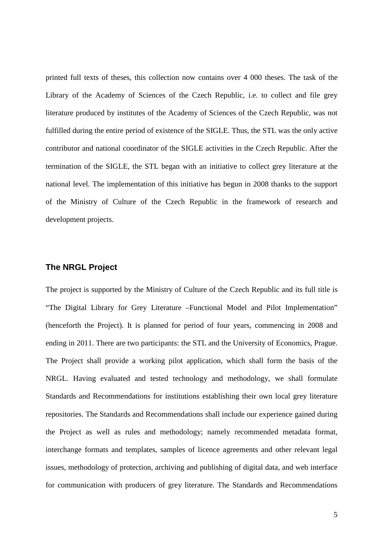printed full texts of theses, this collection now contains over 4 000 theses. The task of the Library of the Academy of Sciences of the Czech Republic, i.e. to collect and file grey literature produced by institutes of the Academy of Sciences of the Czech Republic, was not fulfilled during the entire period of existence of the SIGLE. Thus, the STL was the only active contributor and national coordinator of the SIGLE activities in the Czech Republic. After the termination of the SIGLE, the STL began with an initiative to collect grey literature at the national level. The implementation of this initiative has begun in 2008 thanks to the support of the Ministry of Culture of the Czech Republic in the framework of research and development projects.

#### **The NRGL Project**

The project is supported by the Ministry of Culture of the Czech Republic and its full title is "The Digital Library for Grey Literature –Functional Model and Pilot Implementation" (henceforth the Project). It is planned for period of four years, commencing in 2008 and ending in 2011. There are two participants: the STL and the University of Economics, Prague. The Project shall provide a working pilot application, which shall form the basis of the NRGL. Having evaluated and tested technology and methodology, we shall formulate Standards and Recommendations for institutions establishing their own local grey literature repositories. The Standards and Recommendations shall include our experience gained during the Project as well as rules and methodology; namely recommended metadata format, interchange formats and templates, samples of licence agreements and other relevant legal issues, methodology of protection, archiving and publishing of digital data, and web interface for communication with producers of grey literature. The Standards and Recommendations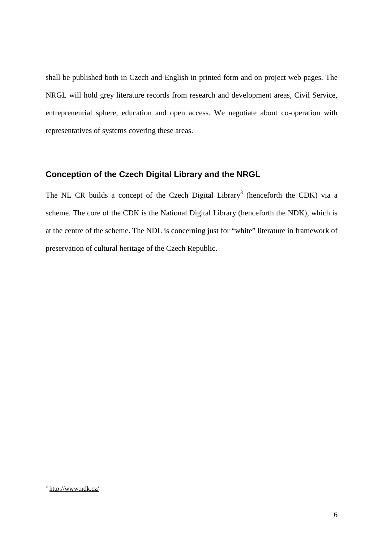shall be published both in Czech and English in printed form and on project web pages. The NRGL will hold grey literature records from research and development areas, Civil Service, entrepreneurial sphere, education and open access. We negotiate about co-operation with representatives of systems covering these areas.

# **Conception of the Czech Digital Library and the NRGL**

The NL CR builds a concept of the Czech Digital Library<sup>3</sup> (henceforth the CDK) via a scheme. The core of the CDK is the National Digital Library (henceforth the NDK), which is at the centre of the scheme. The NDL is concerning just for "white" literature in framework of preservation of cultural heritage of the Czech Republic.

<sup>&</sup>lt;sup>3</sup> http://www.ndk.cz/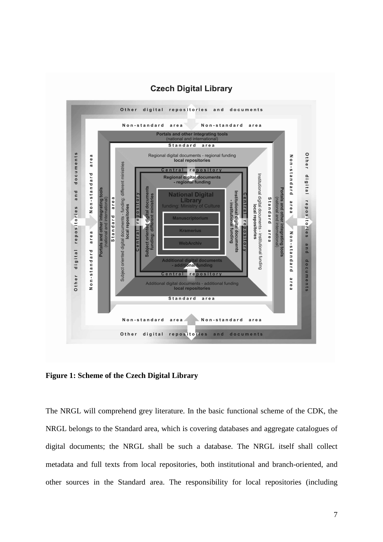

#### **Czech Digital Library**

**Figure 1: Scheme of the Czech Digital Library** 

The NRGL will comprehend grey literature. In the basic functional scheme of the CDK, the NRGL belongs to the Standard area, which is covering databases and aggregate catalogues of digital documents; the NRGL shall be such a database. The NRGL itself shall collect metadata and full texts from local repositories, both institutional and branch-oriented, and other sources in the Standard area. The responsibility for local repositories (including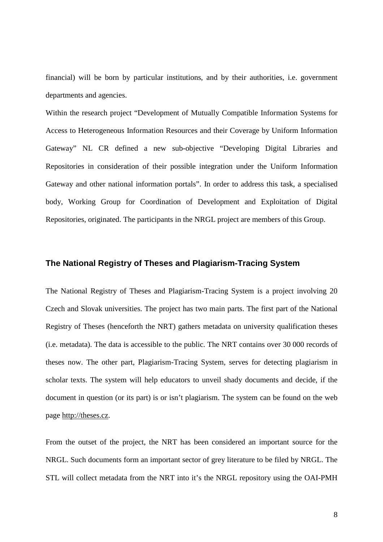financial) will be born by particular institutions, and by their authorities, i.e. government departments and agencies.

Within the research project "Development of Mutually Compatible Information Systems for Access to Heterogeneous Information Resources and their Coverage by Uniform Information Gateway" NL CR defined a new sub-objective "Developing Digital Libraries and Repositories in consideration of their possible integration under the Uniform Information Gateway and other national information portals". In order to address this task, a specialised body, Working Group for Coordination of Development and Exploitation of Digital Repositories, originated. The participants in the NRGL project are members of this Group.

#### **The National Registry of Theses and Plagiarism-Tracing System**

The National Registry of Theses and Plagiarism-Tracing System is a project involving 20 Czech and Slovak universities. The project has two main parts. The first part of the National Registry of Theses (henceforth the NRT) gathers metadata on university qualification theses (i.e. metadata). The data is accessible to the public. The NRT contains over 30 000 records of theses now. The other part, Plagiarism-Tracing System, serves for detecting plagiarism in scholar texts. The system will help educators to unveil shady documents and decide, if the document in question (or its part) is or isn't plagiarism. The system can be found on the web page http://theses.cz.

From the outset of the project, the NRT has been considered an important source for the NRGL. Such documents form an important sector of grey literature to be filed by NRGL. The STL will collect metadata from the NRT into it's the NRGL repository using the OAI-PMH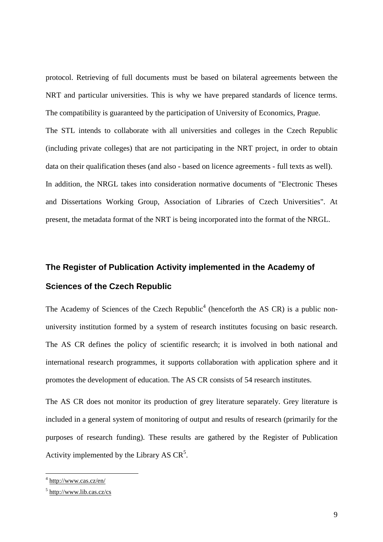protocol. Retrieving of full documents must be based on bilateral agreements between the NRT and particular universities. This is why we have prepared standards of licence terms. The compatibility is guaranteed by the participation of University of Economics, Prague. The STL intends to collaborate with all universities and colleges in the Czech Republic (including private colleges) that are not participating in the NRT project, in order to obtain data on their qualification theses (and also - based on licence agreements - full texts as well). In addition, the NRGL takes into consideration normative documents of "Electronic Theses and Dissertations Working Group, Association of Libraries of Czech Universities". At present, the metadata format of the NRT is being incorporated into the format of the NRGL.

# **The Register of Publication Activity implemented in the Academy of Sciences of the Czech Republic**

The Academy of Sciences of the Czech Republic<sup>4</sup> (henceforth the AS CR) is a public nonuniversity institution formed by a system of research institutes focusing on basic research. The AS CR defines the policy of scientific research; it is involved in both national and international research programmes, it supports collaboration with application sphere and it promotes the development of education. The AS CR consists of 54 research institutes.

The AS CR does not monitor its production of grey literature separately. Grey literature is included in a general system of monitoring of output and results of research (primarily for the purposes of research funding). These results are gathered by the Register of Publication Activity implemented by the Library AS  $CR<sup>5</sup>$ .

<sup>&</sup>lt;sup>4</sup> http://www.cas.cz/en/

<sup>&</sup>lt;sup>5</sup> http://www.lib.cas.cz/cs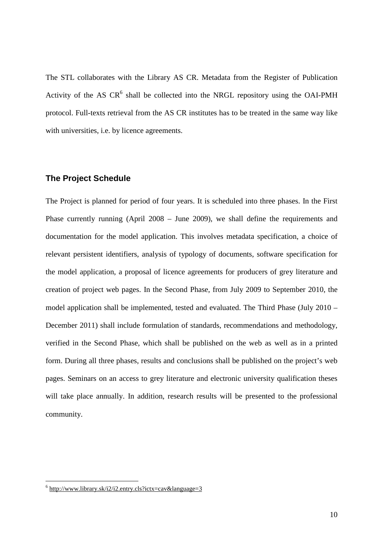The STL collaborates with the Library AS CR. Metadata from the Register of Publication Activity of the AS  $CR^6$  shall be collected into the NRGL repository using the OAI-PMH protocol. Full-texts retrieval from the AS CR institutes has to be treated in the same way like with universities, i.e. by licence agreements.

#### **The Project Schedule**

The Project is planned for period of four years. It is scheduled into three phases. In the First Phase currently running (April 2008 – June 2009), we shall define the requirements and documentation for the model application. This involves metadata specification, a choice of relevant persistent identifiers, analysis of typology of documents, software specification for the model application, a proposal of licence agreements for producers of grey literature and creation of project web pages. In the Second Phase, from July 2009 to September 2010, the model application shall be implemented, tested and evaluated. The Third Phase (July 2010 – December 2011) shall include formulation of standards, recommendations and methodology, verified in the Second Phase, which shall be published on the web as well as in a printed form. During all three phases, results and conclusions shall be published on the project's web pages. Seminars on an access to grey literature and electronic university qualification theses will take place annually. In addition, research results will be presented to the professional community.

 $6$  http://www.library.sk/i2/i2.entry.cls?ictx=cav&language=3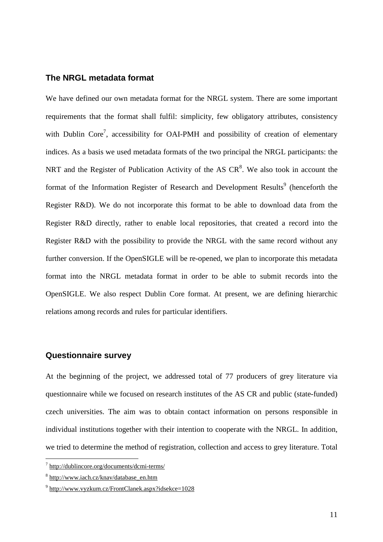#### **The NRGL metadata format**

We have defined our own metadata format for the NRGL system. There are some important requirements that the format shall fulfil: simplicity, few obligatory attributes, consistency with Dublin Core<sup>7</sup>, accessibility for OAI-PMH and possibility of creation of elementary indices. As a basis we used metadata formats of the two principal the NRGL participants: the NRT and the Register of Publication Activity of the AS  $CR<sup>8</sup>$ . We also took in account the format of the Information Register of Research and Development Results<sup>9</sup> (henceforth the Register R&D). We do not incorporate this format to be able to download data from the Register R&D directly, rather to enable local repositories, that created a record into the Register R&D with the possibility to provide the NRGL with the same record without any further conversion. If the OpenSIGLE will be re-opened, we plan to incorporate this metadata format into the NRGL metadata format in order to be able to submit records into the OpenSIGLE. We also respect Dublin Core format. At present, we are defining hierarchic relations among records and rules for particular identifiers.

#### **Questionnaire survey**

At the beginning of the project, we addressed total of 77 producers of grey literature via questionnaire while we focused on research institutes of the AS CR and public (state-funded) czech universities. The aim was to obtain contact information on persons responsible in individual institutions together with their intention to cooperate with the NRGL. In addition, we tried to determine the method of registration, collection and access to grey literature. Total

<sup>&</sup>lt;sup>7</sup> http://dublincore.org/documents/dcmi-terms/

<sup>&</sup>lt;sup>8</sup> http://www.iach.cz/knav/database\_en.htm

<sup>&</sup>lt;sup>9</sup> http://www.vyzkum.cz/FrontClanek.aspx?idsekce=1028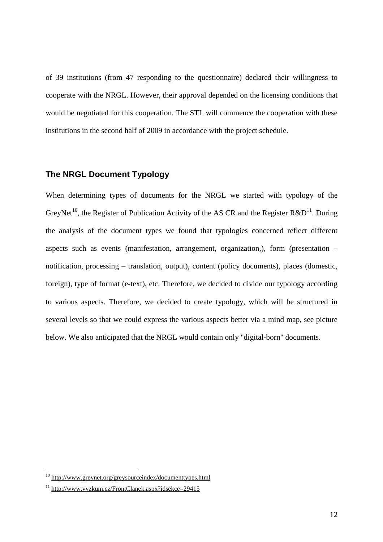of 39 institutions (from 47 responding to the questionnaire) declared their willingness to cooperate with the NRGL. However, their approval depended on the licensing conditions that would be negotiated for this cooperation. The STL will commence the cooperation with these institutions in the second half of 2009 in accordance with the project schedule.

# **The NRGL Document Typology**

When determining types of documents for the NRGL we started with typology of the GreyNet<sup>10</sup>, the Register of Publication Activity of the AS CR and the Register R&D<sup>11</sup>. During the analysis of the document types we found that typologies concerned reflect different aspects such as events (manifestation, arrangement, organization,), form (presentation – notification, processing – translation, output), content (policy documents), places (domestic, foreign), type of format (e-text), etc. Therefore, we decided to divide our typology according to various aspects. Therefore, we decided to create typology, which will be structured in several levels so that we could express the various aspects better via a mind map, see picture below. We also anticipated that the NRGL would contain only "digital-born" documents.

<sup>&</sup>lt;sup>10</sup> http://www.greynet.org/greysourceindex/documenttypes.html

<sup>11</sup> http://www.vyzkum.cz/FrontClanek.aspx?idsekce=29415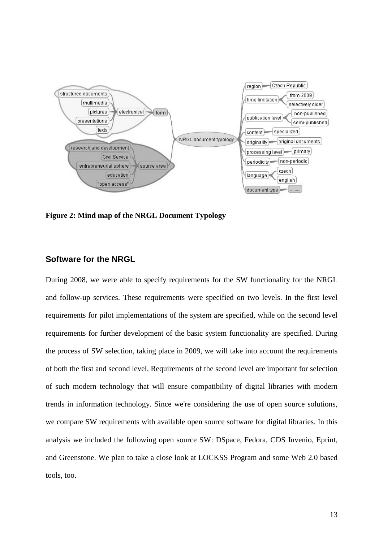

**Figure 2: Mind map of the NRGL Document Typology** 

# **Software for the NRGL**

During 2008, we were able to specify requirements for the SW functionality for the NRGL and follow-up services. These requirements were specified on two levels. In the first level requirements for pilot implementations of the system are specified, while on the second level requirements for further development of the basic system functionality are specified. During the process of SW selection, taking place in 2009, we will take into account the requirements of both the first and second level. Requirements of the second level are important for selection of such modern technology that will ensure compatibility of digital libraries with modern trends in information technology. Since we're considering the use of open source solutions, we compare SW requirements with available open source software for digital libraries. In this analysis we included the following open source SW: DSpace, Fedora, CDS Invenio, Eprint, and Greenstone. We plan to take a close look at LOCKSS Program and some Web 2.0 based tools, too.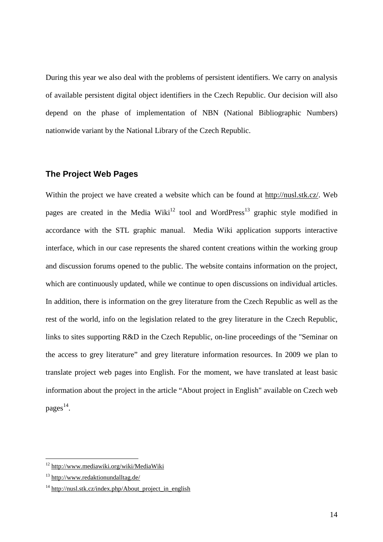During this year we also deal with the problems of persistent identifiers. We carry on analysis of available persistent digital object identifiers in the Czech Republic. Our decision will also depend on the phase of implementation of NBN (National Bibliographic Numbers) nationwide variant by the National Library of the Czech Republic.

# **The Project Web Pages**

Within the project we have created a website which can be found at http://nusl.stk.cz/. Web pages are created in the Media Wiki<sup>12</sup> tool and WordPress<sup>13</sup> graphic style modified in accordance with the STL graphic manual. Media Wiki application supports interactive interface, which in our case represents the shared content creations within the working group and discussion forums opened to the public. The website contains information on the project, which are continuously updated, while we continue to open discussions on individual articles. In addition, there is information on the grey literature from the Czech Republic as well as the rest of the world, info on the legislation related to the grey literature in the Czech Republic, links to sites supporting R&D in the Czech Republic, on-line proceedings of the "Seminar on the access to grey literature" and grey literature information resources. In 2009 we plan to translate project web pages into English. For the moment, we have translated at least basic information about the project in the article "About project in English" available on Czech web pages<sup>14</sup>.

<sup>&</sup>lt;sup>12</sup> http://www.mediawiki.org/wiki/MediaWiki

<sup>13</sup> http://www.redaktionundalltag.de/

 $14 \text{ http://nus1.stk.cz/index.php/About project in English}$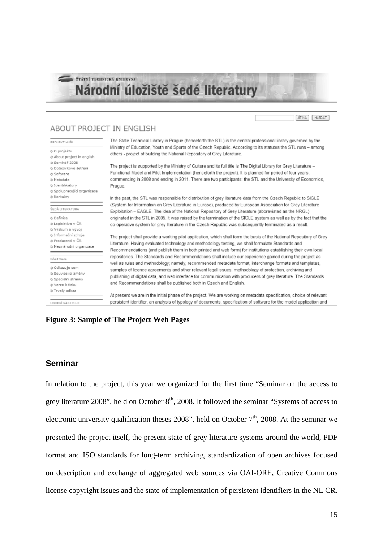# STÁTNÍ TECHNICKÁ KNIHOVNA Národní úložiště šedé literatury

# ABOUT PROJECT IN ENGLISH

| PROJEKT NUŠL                                                                                                           | The State Technical Library in Prague (henceforth the STL) is the central professional library governed by the<br>Ministry of Education, Youth and Sports of the Czech Republic. According to its statutes the STL runs - among<br>others - project of building the National Repository of Grey Literature.                                                                                                                                                                                                                                                                                                                                                                                                                                                                                                                                                                                                                                                                                                                                                                                            |
|------------------------------------------------------------------------------------------------------------------------|--------------------------------------------------------------------------------------------------------------------------------------------------------------------------------------------------------------------------------------------------------------------------------------------------------------------------------------------------------------------------------------------------------------------------------------------------------------------------------------------------------------------------------------------------------------------------------------------------------------------------------------------------------------------------------------------------------------------------------------------------------------------------------------------------------------------------------------------------------------------------------------------------------------------------------------------------------------------------------------------------------------------------------------------------------------------------------------------------------|
| t O projektu<br>t About project in english                                                                             |                                                                                                                                                                                                                                                                                                                                                                                                                                                                                                                                                                                                                                                                                                                                                                                                                                                                                                                                                                                                                                                                                                        |
| 1 Seminář 2008<br>å Dotazníkové šetření<br>& Software<br>& Metadata<br>t Identifikátory<br>t Spolupracující organizace | The project is supported by the Ministry of Culture and its full title is The Digital Library for Grey Literature -<br>Functional Model and Pilot Implementation (henceforth the project). It is planned for period of four years,<br>commencing in 2008 and ending in 2011. There are two participants: the STL and the University of Economics,<br>Prague.                                                                                                                                                                                                                                                                                                                                                                                                                                                                                                                                                                                                                                                                                                                                           |
| k Kontakty                                                                                                             | In the past, the STL was responsible for distribution of grey literature data from the Czech Republic to SIGLE                                                                                                                                                                                                                                                                                                                                                                                                                                                                                                                                                                                                                                                                                                                                                                                                                                                                                                                                                                                         |
| SEDÁ LITERATURA                                                                                                        | (System for Information on Grey Literature in Europe), produced by European Association for Grey Literature<br>Exploitation - EAGLE. The idea of the National Repository of Grey Literature (abbreviated as the NRGL)                                                                                                                                                                                                                                                                                                                                                                                                                                                                                                                                                                                                                                                                                                                                                                                                                                                                                  |
| t Definice<br>á Legislativa v ČR<br>ż Výzkum a vývoj                                                                   | originated in the STL in 2005. It was raised by the termination of the SIGLE system as well as by the fact that the<br>co-operative system for grey literature in the Czech Republic was subsequently terminated as a result.<br>The project shall provide a working pilot application, which shall form the basis of the National Repository of Grey<br>Literature. Having evaluated technology and methodology testing, we shall formulate Standards and<br>Recommendations (and publish them in both printed and web form) for institutions establishing their own local<br>repositories. The Standards and Recommendations shall include our experience gained during the project as<br>well as rules and methodology; namely, recommended metadata format, interchange formats and templates,<br>samples of licence agreements and other relevant legal issues, methodology of protection, archiving and<br>publishing of digital data, and web interface for communication with producers of grey literature. The Standards<br>and Recommendations shall be published both in Czech and English. |
| t Informační zdroje<br>t Producenti v ČR<br>t Mezinárodní organizace                                                   |                                                                                                                                                                                                                                                                                                                                                                                                                                                                                                                                                                                                                                                                                                                                                                                                                                                                                                                                                                                                                                                                                                        |
| JÁSTROJE                                                                                                               |                                                                                                                                                                                                                                                                                                                                                                                                                                                                                                                                                                                                                                                                                                                                                                                                                                                                                                                                                                                                                                                                                                        |
| t Odkazuje sem<br>t Související změny<br>≵ Speciální stránky<br>k Verze k tisku                                        |                                                                                                                                                                                                                                                                                                                                                                                                                                                                                                                                                                                                                                                                                                                                                                                                                                                                                                                                                                                                                                                                                                        |
| ż Trvalý odkaz<br>OSOBNÍ NÁSTROJE                                                                                      | At present we are in the initial phase of the project. We are working on metadata specification, choice of relevant<br>persistent identifier, an analysis of typology of documents, specification of software for the model application and                                                                                                                                                                                                                                                                                                                                                                                                                                                                                                                                                                                                                                                                                                                                                                                                                                                            |

#### **Figure 3: Sample of The Project Web Pages**

# **Seminar**

In relation to the project, this year we organized for the first time "Seminar on the access to grey literature 2008", held on October  $8<sup>th</sup>$ , 2008. It followed the seminar "Systems of access to electronic university qualification theses 2008", held on October  $7<sup>th</sup>$ , 2008. At the seminar we presented the project itself, the present state of grey literature systems around the world, PDF format and ISO standards for long-term archiving, standardization of open archives focused on description and exchange of aggregated web sources via OAI-ORE, Creative Commons license copyright issues and the state of implementation of persistent identifiers in the NL CR.

JIT NA | HLEDAT